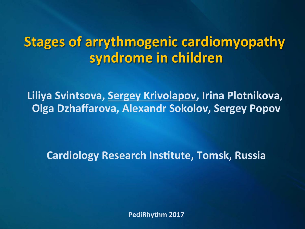# **Stages of arrythmogenic cardiomyopathy syndrome in children**

**Liliya Svintsova, Sergey Krivolapov, Irina Plotnikova, Olga Dzhaffarova, Alexandr Sokolov, Sergey Popov** 

**Cardiology Research Institute, Tomsk, Russia** 

**PediRhythm 2017**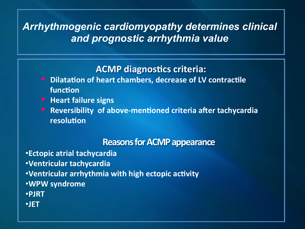#### *Arrhythmogenic cardiomyopathy determines clinical and prognostic arrhythmia value*

#### **ACMP** diagnostics criteria:

- **Dilatation of heart chambers, decrease of LV contractile** function
- **E** Heart failure signs
- **E** Reversibility of above-mentioned criteria after tachycardia **resolution**

#### **Reasons for ACMP appearance**

•**Ectopic atrial tachycardia** •**Ventricular tachycardia •Ventricular arrhythmia with high ectopic activity** •**WPW syndrome**  •**PJRT**  •**JET**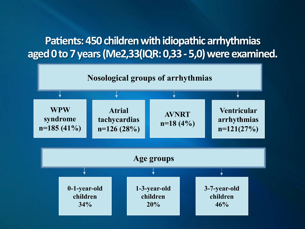## **Patients: 450 children with idiopathic arrhythmias aged 0 to 7 years (Me2,33(IQR: 0,33 - 5,0) were examined.**

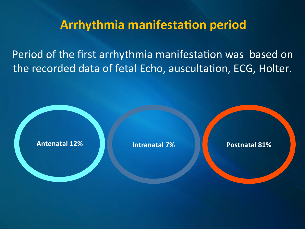# **Arrhythmia manifestation period**

Period of the first arrhythmia manifestation was based on the recorded data of fetal Echo, auscultation, ECG, Holter.

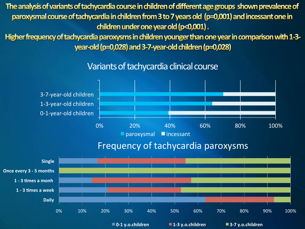The analysis of variants of tachycardia course in children of different age groups shown prevalence of paroxysmal course of tachycardia in children from 3 to 7 years old (p=0,001) and incessant one in children under one year old (p<0,001).

Higher frequency of tachycardia paroxysms in children younger than one year in comparison with 1-3year-old ( $p=0.028$ ) and 3-7-year-old children ( $p=0.028$ )

Variants of tachycardia clinical course



Frequency of tachycardia paroxysms

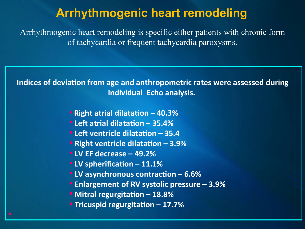## **Arrhythmogenic heart remodeling**

Arrhythmogenic heart remodeling is specific either patients with chronic form of tachycardia or frequent tachycardia paroxysms.

**Indices of deviation from age and anthropometric rates were assessed during individual Echo analysis.** 

- Right atrial dilatation 40.3%
- Left atrial dilatation 35.4%
- Left ventricle dilatation 35.4
- **Right ventricle dilatation 3.9%**
- **LV EF decrease 49.2%**
- **LV spherification 11.1%**
- **LV asynchronous contraction 6.6%**
- **Enlargement of RV systolic pressure 3.9%**
- Mitral regurgitation 18.8%
- **Tricuspid regurgitation 17.7%**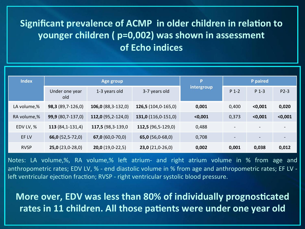#### **Significant prevalence of ACMP in older children in relation to younger children ( p=0,002) was shown in assessment of Echo indices**

| <b>Index</b> | Age group                  |                             |                           | P          | P paired                 |                          |         |
|--------------|----------------------------|-----------------------------|---------------------------|------------|--------------------------|--------------------------|---------|
|              | Under one year<br>old      | 1-3 years old               | 3-7 years old             | intergroup | $P_1 - 2$                | $P_1 - 3$                | $P2-3$  |
| LA volume,%  | <b>98,3</b> $(89,7-126,0)$ | <b>106,0</b> $(88,3-132,0)$ | $126,5(104,0-165,0)$      | 0,001      | 0,400                    | $0,001$                  | 0,020   |
| RA volume,%  | 99,9 (80,7-137,0)          | 112,0 $(95,2-124,0)$        | $131,0(116,0-151,0)$      | < 0,001    | 0,373                    | $0,001$                  | $0,001$ |
| EDV LV, %    | $113(84,1-131,4)$          | 117,5 (98,3-139,0           | 112,5 $(96,5-129,0)$      | 0,488      |                          |                          |         |
| EF LV        | 66,0 $(52,5-72,0)$         | $67,0(60,0-70,0)$           | 65,0 $(56,0-68,0)$        | 0,708      | $\overline{\phantom{a}}$ | $\overline{\phantom{a}}$ |         |
| <b>RVSP</b>  | $25,0(23,0-28,0)$          | <b>20,0</b> (19,0-22,5)     | <b>23,0</b> $(21,0-26,0)$ | 0,002      | 0,001                    | 0,038                    | 0,012   |

Notes: LA volume,%, RA volume,% left atrium- and right atrium volume in % from age and anthropometric rates; EDV LV, % - end diastolic volume in % from age and anthropometric rates; EF LV left ventricular ejection fraction; RVSP - right ventricular systolic blood pressure.

**More over, EDV was less than 80% of individually prognosticated** rates in 11 children. All those patients were under one year old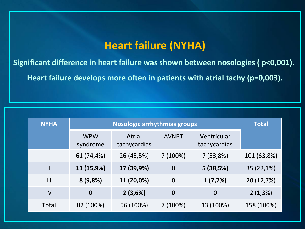## **Heart failure (NYHA)**

Significant difference in heart failure was shown between nosologies ( p<0,001).

Heart failure develops more often in patients with atrial tachy (p=0,003).

| <b>NYHA</b>    | <b>Nosologic arrhythmias groups</b> |                        |                  |                             | <b>Total</b> |  |
|----------------|-------------------------------------|------------------------|------------------|-----------------------------|--------------|--|
|                | <b>WPW</b><br>syndrome              | Atrial<br>tachycardias | <b>AVNRT</b>     | Ventricular<br>tachycardias |              |  |
|                | 61 (74,4%)                          | 26 (45,5%)             | 7(100%)          | 7(53,8%)                    | 101 (63,8%)  |  |
| $\mathbf{I}$   | 13 (15,9%)                          | 17 (39,9%)             | $\mathbf 0$      | 5(38,5%)                    | 35 (22,1%)   |  |
| $\mathbf{III}$ | 8(9,8%)                             | 11 (20,0%)             | $\boldsymbol{0}$ | 1(7,7%)                     | 20 (12,7%)   |  |
| IV             | $\overline{0}$                      | 2(3,6%)                | $\overline{0}$   | $\overline{0}$              | $2(1,3\%)$   |  |
| Total          | 82 (100%)                           | 56 (100%)              | 7(100%)          | 13 (100%)                   | 158 (100%)   |  |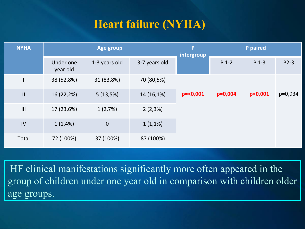# **Heart failure (NYHA)**

| <b>NYHA</b>    | Age group             |                  |               | P<br>intergroup | P paired  |                     |         |
|----------------|-----------------------|------------------|---------------|-----------------|-----------|---------------------|---------|
|                | Under one<br>year old | 1-3 years old    | 3-7 years old |                 | $P_1 - 2$ | $P_1 - 3$           | $P2-3$  |
|                | 38 (52,8%)            | 31 (83,8%)       | 70 (80,5%)    | $p=<0,001$      | $p=0,004$ | p <sub>0</sub> ,001 | p=0,934 |
| $\mathbf{II}$  | 16 (22,2%)            | 5(13,5%)         | 14 (16,1%)    |                 |           |                     |         |
| $\mathbf{III}$ | 17 (23,6%)            | 1(2,7%)          | $2(2,3\%)$    |                 |           |                     |         |
| IV             | 1(1,4%)               | $\boldsymbol{0}$ | $1(1,1\%)$    |                 |           |                     |         |
| Total          | 72 (100%)             | 37 (100%)        | 87 (100%)     |                 |           |                     |         |

HF clinical manifestations significantly more often appeared in the group of children under one year old in comparison with children older age groups.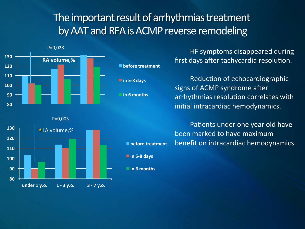## The important result of arrhythmias treatment by AAT and RFA is ACMP reverse remodeling



HF symptoms disappeared during first days after tachycardia resolution.

Reduction of echocardiographic signs of ACMP syndrome after arrhythmias resolution correlates with initial intracardiac hemodynamics.

Patients under one year old have been marked to have maximum benefit on intracardiac hemodynamics.